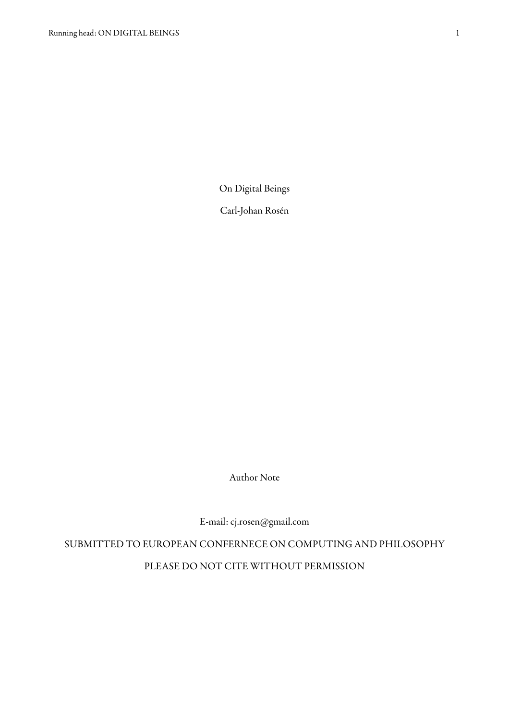On Digital Beings

Carl-Johan Rosén

Author Note

E-mail: [cj.rosen@gmail.com](mailto:cj.rosen@gmail.com)

SUBMITTED TO EUROPEAN CONFERNECE ON COMPUTING AND PHILOSOPHY PLEASE DO NOT CITE WITHOUT PERMISSION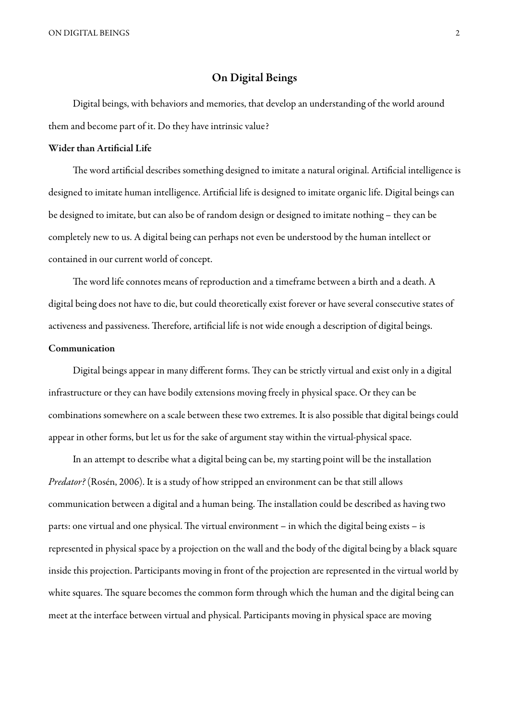ON DIGITAL BEINGS 2

## On Digital Beings

 Digital beings, with behaviors and memories, that develop an understanding of the world around them and become part of it. Do they have intrinsic value?

#### Wider than Artificial Life

The word artificial describes something designed to imitate a natural original. Artificial intelligence is designed to imitate human intelligence. Artificial life is designed to imitate organic life. Digital beings can be designed to imitate, but can also be of random design or designed to imitate nothing – they can be completely new to us. A digital being can perhaps not even be understood by the human intellect or contained in our current world of concept.

The word life connotes means of reproduction and a timeframe between a birth and a death. A digital being does not have to die, but could theoretically exist forever or have several consecutive states of activeness and passiveness. Therefore, artificial life is not wide enough a description of digital beings.

## Communication

Digital beings appear in many different forms. They can be strictly virtual and exist only in a digital infrastructure or they can have bodily extensions moving freely in physical space. Or they can be combinations somewhere on a scale between these two extremes. It is also possible that digital beings could appear in other forms, but let us for the sake of argument stay within the virtual-physical space.

 In an attempt to describe what a digital being can be, my starting point will be the installation Predator? (Rosén, 2006). It is a study of how stripped an environment can be that still allows communication between a digital and a human being. The installation could be described as having two parts: one virtual and one physical. The virtual environment – in which the digital being exists – is represented in physical space by a projection on the wall and the body of the digital being by a black square inside this projection. Participants moving in front of the projection are represented in the virtual world by white squares. The square becomes the common form through which the human and the digital being can meet at the interface between virtual and physical. Participants moving in physical space are moving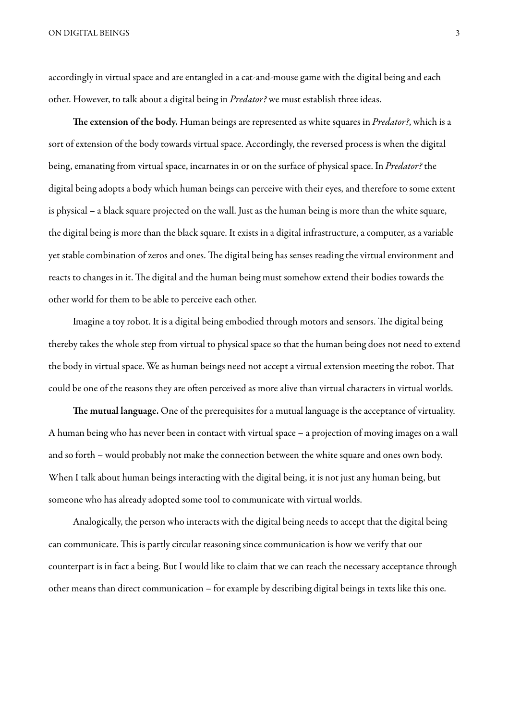ON DIGITAL BEINGS 3

accordingly in virtual space and are entangled in a cat-and-mouse game with the digital being and each other. However, to talk about a digital being in *Predator*? we must establish three ideas.

The extension of the body. Human beings are represented as white squares in *Predator?*, which is a sort of extension of the body towards virtual space. Accordingly, the reversed process is when the digital being, emanating from virtual space, incarnates in or on the surface of physical space. In Predator? the digital being adopts a body which human beings can perceive with their eyes, and therefore to some extent is physical – a black square projected on the wall. Just as the human being is more than the white square, the digital being is more than the black square. It exists in a digital infrastructure, a computer, as a variable yet stable combination of zeros and ones. The digital being has senses reading the virtual environment and reacts to changes in it. The digital and the human being must somehow extend their bodies towards the other world for them to be able to perceive each other.

Imagine a toy robot. It is a digital being embodied through motors and sensors. The digital being thereby takes the whole step from virtual to physical space so that the human being does not need to extend the body in virtual space. We as human beings need not accept a virtual extension meeting the robot. That could be one of the reasons they are often perceived as more alive than virtual characters in virtual worlds.

The mutual language. One of the prerequisites for a mutual language is the acceptance of virtuality. A human being who has never been in contact with virtual space – a projection of moving images on a wall and so forth – would probably not make the connection between the white square and ones own body. When I talk about human beings interacting with the digital being, it is not just any human being, but someone who has already adopted some tool to communicate with virtual worlds.

 Analogically, the person who interacts with the digital being needs to accept that the digital being can communicate. This is partly circular reasoning since communication is how we verify that our counterpart is in fact a being. But I would like to claim that we can reach the necessary acceptance through other means than direct communication – for example by describing digital beings in texts like this one.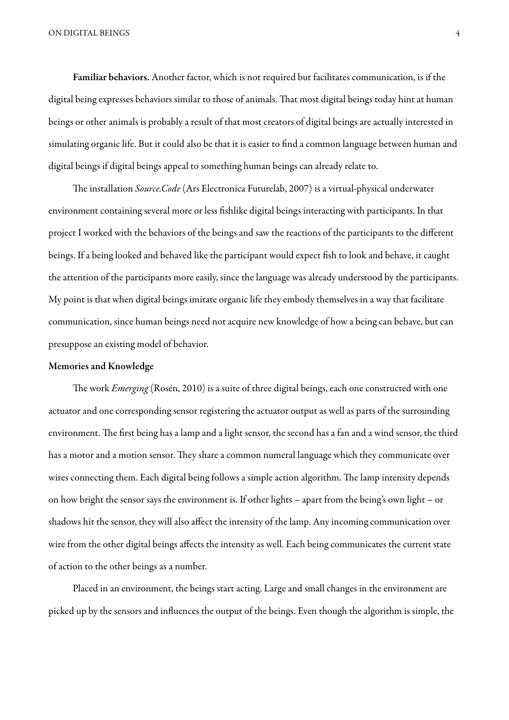Familiar behaviors. Another factor, which is not required but facilitates communication, is if the digital being expresses behaviors similar to those of animals. That most digital beings today hint at human beings or other animals is probably a result of that most creators of digital beings are actually interested in simulating organic life. But it could also be that it is easier to find a common language between human and digital beings if digital beings appeal to something human beings can already relate to.

The installation Source.Code (Ars Electronica Futurelab, 2007) is a virtual-physical underwater environment containing several more or less fishlike digital beings interacting with participants. In that project I worked with the behaviors of the beings and saw the reactions of the participants to the different beings. If a being looked and behaved like the participant would expect fish to look and behave, it caught the attention of the participants more easily, since the language was already understood by the participants. My point is that when digital beings imitate organic life they embody themselves in a way that facilitate communication, since human beings need not acquire new knowledge of how a being can behave, but can presuppose an existing model of behavior.

#### Memories and Knowledge

The work *Emerging* (Rosén, 2010) is a suite of three digital beings, each one constructed with one actuator and one corresponding sensor registering the actuator output as well as parts of the surrounding environment. The first being has a lamp and a light sensor, the second has a fan and a wind sensor, the third has a motor and a motion sensor. They share a common numeral language which they communicate over wires connecting them. Each digital being follows a simple action algorithm. The lamp intensity depends on how bright the sensor says the environment is. If other lights – apart from the being's own light – or shadows hit the sensor, they will also affect the intensity of the lamp. Any incoming communication over wire from the other digital beings affects the intensity as well. Each being communicates the current state of action to the other beings as a number.

 Placed in an environment, the beings start acting. Large and small changes in the environment are picked up by the sensors and influences the output of the beings. Even though the algorithm is simple, the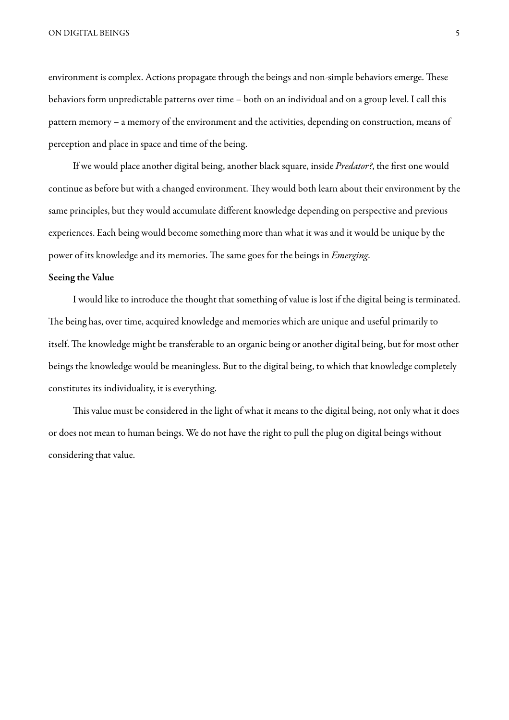ON DIGITAL BEINGS 5

environment is complex. Actions propagate through the beings and non-simple behaviors emerge. These behaviors form unpredictable patterns over time – both on an individual and on a group level. I call this pattern memory – a memory of the environment and the activities, depending on construction, means of perception and place in space and time of the being.

If we would place another digital being, another black square, inside Predator?, the first one would continue as before but with a changed environment. They would both learn about their environment by the same principles, but they would accumulate different knowledge depending on perspective and previous experiences. Each being would become something more than what it was and it would be unique by the power of its knowledge and its memories. The same goes for the beings in *Emerging*.

### Seeing the Value

 I would like to introduce the thought that something of value is lost if the digital being is terminated. The being has, over time, acquired knowledge and memories which are unique and useful primarily to itself. The knowledge might be transferable to an organic being or another digital being, but for most other beings the knowledge would be meaningless. But to the digital being, to which that knowledge completely constitutes its individuality, it is everything.

This value must be considered in the light of what it means to the digital being, not only what it does or does not mean to human beings. We do not have the right to pull the plug on digital beings without considering that value.